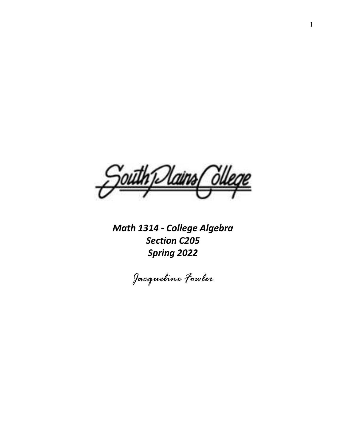Dains

*Math 1314 - College Algebra Section C205 Spring 2022*

*Jacqueline Fowler*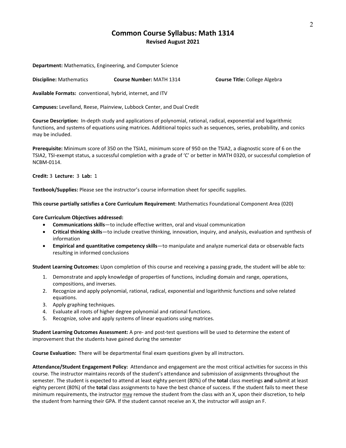## **Common Course Syllabus: Math 1314 Revised August 2021**

**Department:** Mathematics, Engineering, and Computer Science

**Discipline:** Mathematics **Course Number:** MATH 1314 **Course Title:** College Algebra

**Available Formats:** conventional, hybrid, internet, and ITV

**Campuses:** Levelland, Reese, Plainview, Lubbock Center, and Dual Credit

**Course Description:** In-depth study and applications of polynomial, rational, radical, exponential and logarithmic functions, and systems of equations using matrices. Additional topics such as sequences, series, probability, and conics may be included.

**Prerequisite:** Minimum score of 350 on the TSIA1, minimum score of 950 on the TSIA2, a diagnostic score of 6 on the TSIA2, TSI-exempt status, a successful completion with a grade of 'C' or better in MATH 0320, or successful completion of NCBM-0114.

**Credit:** 3 **Lecture:** 3 **Lab:** 1

**Textbook/Supplies:** Please see the instructor's course information sheet for specific supplies.

**This course partially satisfies a Core Curriculum Requirement**: Mathematics Foundational Component Area (020)

**Core Curriculum Objectives addressed:**

- **Communications skills**—to include effective written, oral and visual communication
- **Critical thinking skills**—to include creative thinking, innovation, inquiry, and analysis, evaluation and synthesis of information
- **Empirical and quantitative competency skills**—to manipulate and analyze numerical data or observable facts resulting in informed conclusions

**Student Learning Outcomes:** Upon completion of this course and receiving a passing grade, the student will be able to:

- 1. Demonstrate and apply knowledge of properties of functions, including domain and range, operations, compositions, and inverses.
- 2. Recognize and apply polynomial, rational, radical, exponential and logarithmic functions and solve related equations.
- 3. Apply graphing techniques.
- 4. Evaluate all roots of higher degree polynomial and rational functions.
- 5. Recognize, solve and apply systems of linear equations using matrices.

**Student Learning Outcomes Assessment:** A pre- and post-test questions will be used to determine the extent of improvement that the students have gained during the semester

**Course Evaluation:** There will be departmental final exam questions given by all instructors.

**Attendance/Student Engagement Policy:** Attendance and engagement are the most critical activities for success in this course. The instructor maintains records of the student's attendance and submission of assignments throughout the semester. The student is expected to attend at least eighty percent (80%) of the **total** class meetings **and** submit at least eighty percent (80%) of the **total** class assignments to have the best chance of success. If the student fails to meet these minimum requirements, the instructor may remove the student from the class with an X, upon their discretion, to help the student from harming their GPA. If the student cannot receive an X, the instructor will assign an F.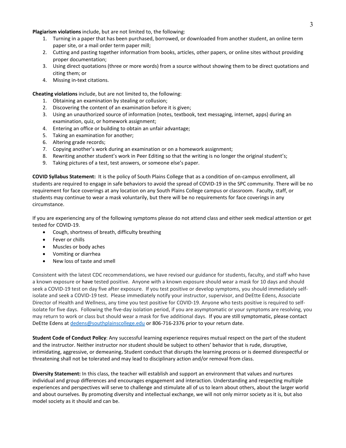**Plagiarism violations** include, but are not limited to, the following:

- 1. Turning in a paper that has been purchased, borrowed, or downloaded from another student, an online term paper site, or a mail order term paper mill;
- 2. Cutting and pasting together information from books, articles, other papers, or online sites without providing proper documentation;
- 3. Using direct quotations (three or more words) from a source without showing them to be direct quotations and citing them; or
- 4. Missing in-text citations.

**Cheating violations** include, but are not limited to, the following:

- 1. Obtaining an examination by stealing or collusion;
- 2. Discovering the content of an examination before it is given;
- 3. Using an unauthorized source of information (notes, textbook, text messaging, internet, apps) during an examination, quiz, or homework assignment;
- 4. Entering an office or building to obtain an unfair advantage;
- 5. Taking an examination for another;
- 6. Altering grade records;
- 7. Copying another's work during an examination or on a homework assignment;
- 8. Rewriting another student's work in Peer Editing so that the writing is no longer the original student's;
- 9. Taking pictures of a test, test answers, or someone else's paper.

**COVID Syllabus Statement:** It is the policy of South Plains College that as a condition of on-campus enrollment, all students are required to engage in safe behaviors to avoid the spread of COVID-19 in the SPC community. There will be no requirement for face coverings at any location on any South Plains College campus or classroom. Faculty, staff, or students may continue to wear a mask voluntarily, but there will be no requirements for face coverings in any circumstance.

If you are experiencing any of the following symptoms please do not attend class and either seek medical attention or get tested for COVID-19.

- Cough, shortness of breath, difficulty breathing
- Fever or chills
- Muscles or body aches
- Vomiting or diarrhea
- New loss of taste and smell

Consistent with the latest CDC recommendations, we have revised our guidance for students, faculty, and staff who have a known exposure or have tested positive. Anyone with a known exposure should wear a mask for 10 days and should seek a COVID-19 test on day five after exposure. If you test positive or develop symptoms, you should immediately selfisolate and seek a COVID-19 test. Please immediately notify your instructor, supervisor, and DeEtte Edens, Associate Director of Health and Wellness, any time you test positive for COVID-19. Anyone who tests positive is required to selfisolate for five days. Following the five-day isolation period, if you are asymptomatic or your symptoms are resolving, you may return to work or class but should wear a mask for five additional days. If you are still symptomatic, please contact DeEtte Edens a[t dedens@southplainscollege.edu](mailto:dedens@southplainscollege.edu) or 806-716-2376 prior to your return date.

**Student Code of Conduct Policy**: Any successful learning experience requires mutual respect on the part of the student and the instructor. Neither instructor nor student should be subject to others' behavior that is rude, disruptive, intimidating, aggressive, or demeaning**.** Student conduct that disrupts the learning process or is deemed disrespectful or threatening shall not be tolerated and may lead to disciplinary action and/or removal from class.

**Diversity Statement:** In this class, the teacher will establish and support an environment that values and nurtures individual and group differences and encourages engagement and interaction. Understanding and respecting multiple experiences and perspectives will serve to challenge and stimulate all of us to learn about others, about the larger world and about ourselves. By promoting diversity and intellectual exchange, we will not only mirror society as it is, but also model society as it should and can be.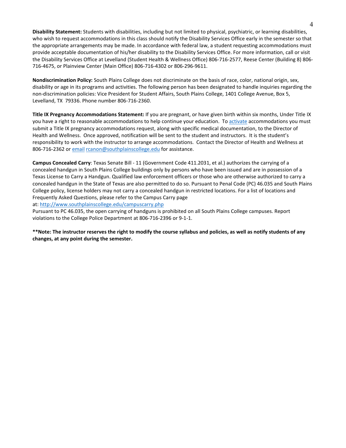**Disability Statement:** Students with disabilities, including but not limited to physical, psychiatric, or learning disabilities, who wish to request accommodations in this class should notify the Disability Services Office early in the semester so that the appropriate arrangements may be made. In accordance with federal law, a student requesting accommodations must provide acceptable documentation of his/her disability to the Disability Services Office. For more information, call or visit the Disability Services Office at Levelland (Student Health & Wellness Office) 806-716-2577, Reese Center (Building 8) 806- 716-4675, or Plainview Center (Main Office) 806-716-4302 or 806-296-9611.

**Nondiscrimination Policy:** South Plains College does not discriminate on the basis of race, color, national origin, sex, disability or age in its programs and activities. The following person has been designated to handle inquiries regarding the non-discrimination policies: Vice President for Student Affairs, South Plains College, 1401 College Avenue, Box 5, Levelland, TX 79336. Phone number 806-716-2360.

**Title IX Pregnancy Accommodations Statement:** If you are pregnant, or have given birth within six months, Under Title IX you have a right to reasonable accommodations to help continue your education. To [activate](http://www.southplainscollege.edu/employees/manualshandbooks/facultyhandbook/sec4.php) accommodations you must submit a Title IX pregnancy accommodations request, along with specific medical documentation, to the Director of Health and Wellness. Once approved, notification will be sent to the student and instructors. It is the student's responsibility to work with the instructor to arrange accommodations. Contact the Director of Health and Wellness at 806-716-2362 or [email](http://www.southplainscollege.edu/employees/manualshandbooks/facultyhandbook/sec4.php) [rcanon@southplainscollege.edu](mailto:rcanon@southplainscollege.edu) for assistance.

**Campus Concealed Carry**: Texas Senate Bill - 11 (Government Code 411.2031, et al.) authorizes the carrying of a concealed handgun in South Plains College buildings only by persons who have been issued and are in possession of a Texas License to Carry a Handgun. Qualified law enforcement officers or those who are otherwise authorized to carry a concealed handgun in the State of Texas are also permitted to do so. Pursuant to Penal Code (PC) 46.035 and South Plains College policy, license holders may not carry a concealed handgun in restricted locations. For a list of locations and Frequently Asked Questions, please refer to the Campus Carry page

at: <http://www.southplainscollege.edu/campuscarry.php>

Pursuant to PC 46.035, the open carrying of handguns is prohibited on all South Plains College campuses. Report violations to the College Police Department at 806-716-2396 or 9-1-1.

**\*\*Note: The instructor reserves the right to modify the course syllabus and policies, as well as notify students of any changes, at any point during the semester.**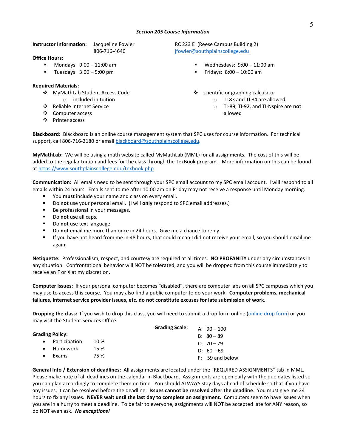#### *Section 205 Course Information*

# **Instructor Information:** Jacqueline Fowler RC 223 E (Reese Campus Building 2)

#### **Office Hours:**

- **Mondays: 9:00 11:00 am**
- Tuesdays: 3:00 5:00 pm

#### **Required Materials:**

- MyMathLab Student Access Code
- o included in tuition
- Reliable Internet Service
- ❖ Computer access
- Printer access

806-716-4640 [jfowler@southplainscollege.edu](mailto:jfowler@southplainscollege.edu)

- $\blacksquare$  Wednesdays:  $9:00 11:00$  am
- Fridays: 8:00 10:00 am
- $\div$  scientific or graphing calculator
	- o TI 83 and TI 84 are allowed
	- o TI-89, TI-92, and TI-Nspire are **not** 
		- allowed

**Blackboard:** Blackboard is an online course management system that SPC uses for course information. For technical support, call 806-716-2180 or emai[l blackboard@southplainscollege.edu.](mailto:blackboard@southplainscollege.edu)

**MyMathLab**: We will be using a math website called MyMathLab (MML) for all assignments. The cost of this will be added to the regular tuition and fees for the class through the TexBook program. More information on this can be found at [https://www.southplainscollege.edu/texbook.php.](https://nam02.safelinks.protection.outlook.com/?url=https%3A%2F%2Fwww.southplainscollege.edu%2Ftexbook.php&data=04%7C01%7Cjfowler%40southplainscollege.edu%7Cceab407f13ca40c881d008d9a869319a%7C6d91b166cf6a45e99e22a02625d082a9%7C0%7C0%7C637725992048639125%7CUnknown%7CTWFpbGZsb3d8eyJWIjoiMC4wLjAwMDAiLCJQIjoiV2luMzIiLCJBTiI6Ik1haWwiLCJXVCI6Mn0%3D%7C3000&sdata=B9NiT60H9SEkXipntqPK8dZnBBoiCnWQFjXtlRx9jhw%3D&reserved=0)

**Communication:** All emails need to be sent through your SPC email account to my SPC email account. I will respond to all emails within 24 hours. Emails sent to me after 10:00 am on Friday may not receive a response until Monday morning.

- You **must** include your name and class on every email.
- Do **not** use your personal email. (I will **only** respond to SPC email addresses.)
- Be professional in your messages.
- Do **not** use all caps.
- **Do not** use text language.
- **Do not** email me more than once in 24 hours. Give me a chance to reply.
- If you have not heard from me in 48 hours, that could mean I did not receive your email, so you should email me again.

**Netiquette:** Professionalism, respect, and courtesy are required at all times. **NO PROFANITY** under any circumstances in any situation. Confrontational behavior will NOT be tolerated, and you will be dropped from this course immediately to receive an F or X at my discretion.

**Computer Issues:** If your personal computer becomes "disabled", there are computer labs on all SPC campuses which you may use to access this course. You may also find a public computer to do your work. **Computer problems, mechanical failures, internet service provider issues, etc. do not constitute excuses for late submission of work.** 

**Dropping the class:** If you wish to drop this class, you will need to submit a drop form online [\(online](http://www.southplainscollege.edu/admission-aid/apply/schedulechanges.php) drop form) or you may visit the Student Services Office.

| <b>Grading Scale:</b> | A: $90 - 100$   |
|-----------------------|-----------------|
|                       | $B: 80 - 89$    |
| 10 %                  | $C: 70 - 79$    |
| 15 %                  | D: $60 - 69$    |
| 75 %                  | F: 59 and below |
|                       |                 |

**General Info / Extension of deadlines:** All assignments are located under the "REQUIRED ASSIGNMENTS" tab in MML. Please make note of all deadlines on the calendar in Blackboard. Assignments are open early with the due dates listed so you can plan accordingly to complete them on time. You should ALWAYS stay days ahead of schedule so that if you have any issues, it can be resolved before the deadline. **Issues cannot be resolved after the deadline**. You must give me 24 hours to fix any issues. **NEVER wait until the last day to complete an assignment.** Computers seem to have issues when you are in a hurry to meet a deadline. To be fair to everyone, assignments will NOT be accepted late for ANY reason, so do NOT even ask. *No exceptions!*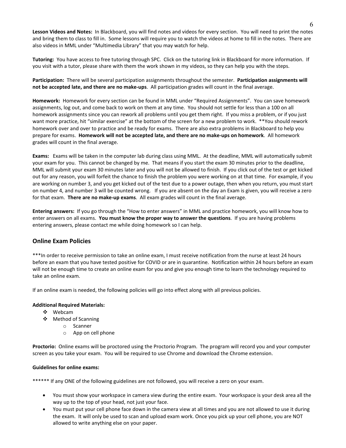**Lesson Videos and Notes:** In Blackboard, you will find notes and videos for every section. You will need to print the notes and bring them to class to fill in. Some lessons will require you to watch the videos at home to fill in the notes. There are also videos in MML under "Multimedia Library" that you may watch for help.

**Tutoring:** You have access to free tutoring through SPC. Click on the tutoring link in Blackboard for more information. If you visit with a tutor, please share with them the work shown in my videos, so they can help you with the steps.

**Participation:** There will be several participation assignments throughout the semester. **Participation assignments will not be accepted late, and there are no make-ups**. All participation grades will count in the final average.

**Homework:** Homework for every section can be found in MML under "Required Assignments". You can save homework assignments, log out, and come back to work on them at any time. You should not settle for less than a 100 on all homework assignments since you can rework all problems until you get them right. If you miss a problem, or if you just want more practice, hit "similar exercise" at the bottom of the screen for a new problem to work. \*\*You should rework homework over and over to practice and be ready for exams. There are also extra problems in Blackboard to help you prepare for exams. **Homework will not be accepted late, and there are no make-ups on homework**. All homework grades will count in the final average.

**Exams:** Exams will be taken in the computer lab during class using MML. At the deadline, MML will automatically submit your exam for you. This cannot be changed by me. That means if you start the exam 30 minutes prior to the deadline, MML will submit your exam 30 minutes later and you will not be allowed to finish. If you click out of the test or get kicked out for any reason, you will forfeit the chance to finish the problem you were working on at that time. For example, if you are working on number 3, and you get kicked out of the test due to a power outage, then when you return, you must start on number 4, and number 3 will be counted wrong. If you are absent on the day an Exam is given, you will receive a zero for that exam. **There are no make-up exams**. All exam grades will count in the final average.

**Entering answers:** If you go through the "How to enter answers" in MML and practice homework, you will know how to enter answers on all exams. **You must know the proper way to answer the questions**. If you are having problems entering answers, please contact me while doing homework so I can help.

### **Online Exam Policies**

\*\*\*In order to receive permission to take an online exam, I must receive notification from the nurse at least 24 hours before an exam that you have tested positive for COVID or are in quarantine. Notification within 24 hours before an exam will not be enough time to create an online exam for you and give you enough time to learn the technology required to take an online exam.

If an online exam is needed, the following policies will go into effect along with all previous policies.

#### **Additional Required Materials:**

- Webcam
- Method of Scanning
	- o Scanner
	- o App on cell phone

**Proctorio:** Online exams will be proctored using the Proctorio Program. The program will record you and your computer screen as you take your exam. You will be required to use Chrome and download the Chrome extension.

#### **Guidelines for online exams:**

\*\*\*\*\*\* If any ONE of the following guidelines are not followed, you will receive a zero on your exam.

- You must show your workspace in camera view during the entire exam. Your workspace is your desk area all the way up to the top of your head, not just your face.
- You must put your cell phone face down in the camera view at all times and you are not allowed to use it during the exam. It will only be used to scan and upload exam work. Once you pick up your cell phone, you are NOT allowed to write anything else on your paper.